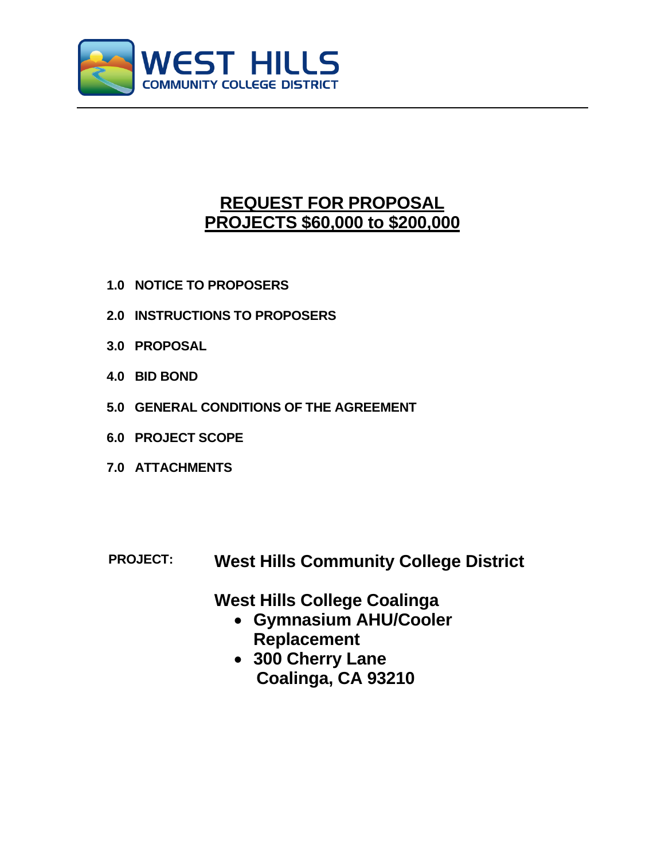

# **REQUEST FOR PROPOSAL PROJECTS \$60,000 to \$200,000**

- **1.0 NOTICE TO PROPOSERS**
- **2.0 INSTRUCTIONS TO PROPOSERS**
- **3.0 PROPOSAL**
- **4.0 BID BOND**
- **5.0 GENERAL CONDITIONS OF THE AGREEMENT**
- **6.0 PROJECT SCOPE**
- **7.0 ATTACHMENTS**
- **PROJECT: West Hills Community College District**

**West Hills College Coalinga**

- **Gymnasium AHU/Cooler Replacement**
- **300 Cherry Lane Coalinga, CA 93210**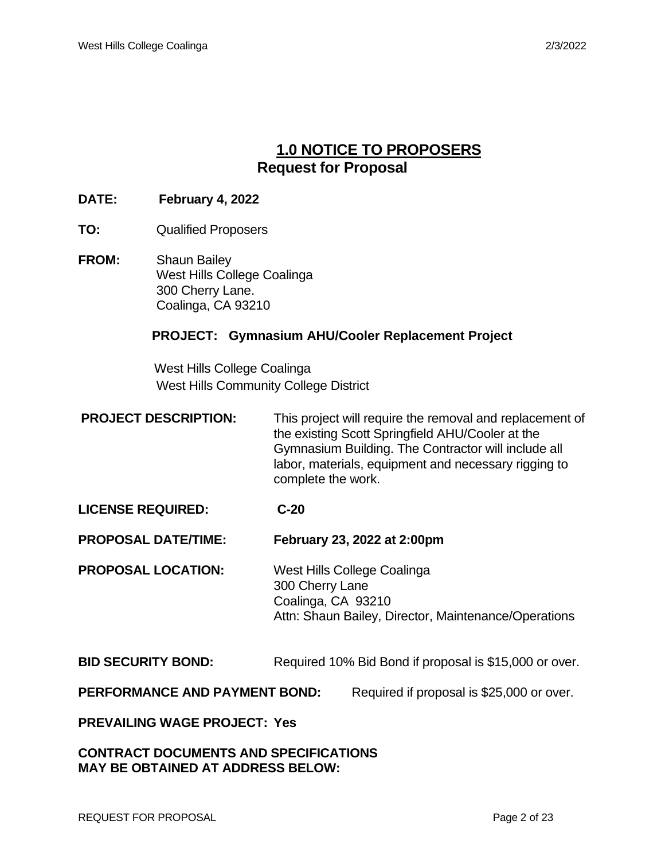# **1.0 NOTICE TO PROPOSERS Request for Proposal**

# **DATE: February 4, 2022**

- **TO:** Qualified Proposers
- **FROM:** Shaun Bailey West Hills College Coalinga 300 Cherry Lane. Coalinga, CA 93210

# **PROJECT: Gymnasium AHU/Cooler Replacement Project**

 West Hills College Coalinga West Hills Community College District

**PROJECT DESCRIPTION:** This project will require the removal and replacement of the existing Scott Springfield AHU/Cooler at the Gymnasium Building. The Contractor will include all labor, materials, equipment and necessary rigging to complete the work.

# **LICENSE REQUIRED: C-20**

**PROPOSAL DATE/TIME: February 23, 2022 at 2:00pm**

**PROPOSAL LOCATION:** West Hills College Coalinga 300 Cherry Lane Coalinga, CA 93210 Attn: Shaun Bailey, Director, Maintenance/Operations

# **BID SECURITY BOND:** Required 10% Bid Bond if proposal is \$15,000 or over.

**PERFORMANCE AND PAYMENT BOND:** Required if proposal is \$25,000 or over.

**PREVAILING WAGE PROJECT: Yes**

# **CONTRACT DOCUMENTS AND SPECIFICATIONS MAY BE OBTAINED AT ADDRESS BELOW:**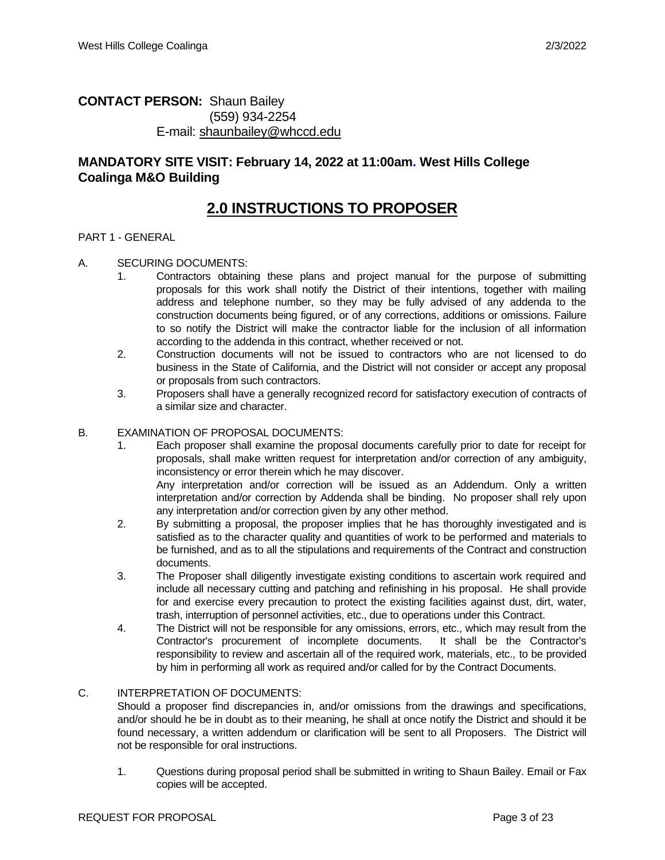# **CONTACT PERSON:** Shaun Bailey (559) 934-2254 E-mail: [shaunbailey@whccd.edu](mailto:shaunbailey@whccd.edu)

# **MANDATORY SITE VISIT: February 14, 2022 at 11:00am. West Hills College Coalinga M&O Building**

# **2.0 INSTRUCTIONS TO PROPOSER**

#### PART 1 - GENERAL

#### A. SECURING DOCUMENTS:

- 1. Contractors obtaining these plans and project manual for the purpose of submitting proposals for this work shall notify the District of their intentions, together with mailing address and telephone number, so they may be fully advised of any addenda to the construction documents being figured, or of any corrections, additions or omissions. Failure to so notify the District will make the contractor liable for the inclusion of all information according to the addenda in this contract, whether received or not.
- 2. Construction documents will not be issued to contractors who are not licensed to do business in the State of California, and the District will not consider or accept any proposal or proposals from such contractors.
- 3. Proposers shall have a generally recognized record for satisfactory execution of contracts of a similar size and character.

#### B. EXAMINATION OF PROPOSAL DOCUMENTS:

1. Each proposer shall examine the proposal documents carefully prior to date for receipt for proposals, shall make written request for interpretation and/or correction of any ambiguity, inconsistency or error therein which he may discover. Any interpretation and/or correction will be issued as an Addendum. Only a written

interpretation and/or correction by Addenda shall be binding. No proposer shall rely upon any interpretation and/or correction given by any other method.

- 2. By submitting a proposal, the proposer implies that he has thoroughly investigated and is satisfied as to the character quality and quantities of work to be performed and materials to be furnished, and as to all the stipulations and requirements of the Contract and construction documents.
- 3. The Proposer shall diligently investigate existing conditions to ascertain work required and include all necessary cutting and patching and refinishing in his proposal. He shall provide for and exercise every precaution to protect the existing facilities against dust, dirt, water, trash, interruption of personnel activities, etc., due to operations under this Contract.
- 4. The District will not be responsible for any omissions, errors, etc., which may result from the Contractor's procurement of incomplete documents. It shall be the Contractor's responsibility to review and ascertain all of the required work, materials, etc., to be provided by him in performing all work as required and/or called for by the Contract Documents.

# C. INTERPRETATION OF DOCUMENTS:

Should a proposer find discrepancies in, and/or omissions from the drawings and specifications, and/or should he be in doubt as to their meaning, he shall at once notify the District and should it be found necessary, a written addendum or clarification will be sent to all Proposers. The District will not be responsible for oral instructions.

1. Questions during proposal period shall be submitted in writing to Shaun Bailey. Email or Fax copies will be accepted.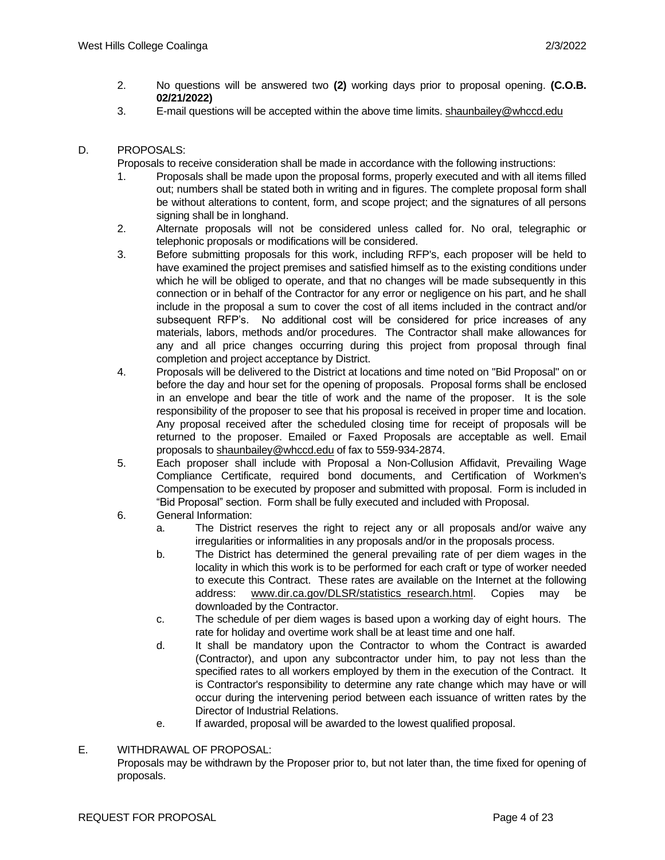- 2. No questions will be answered two **(2)** working days prior to proposal opening. **(C.O.B. 02/21/2022)**
- 3. E-mail questions will be accepted within the above time limits. [shaunbailey@whccd.edu](mailto:shaunbailey@whccd.edu)

### D. PROPOSALS:

Proposals to receive consideration shall be made in accordance with the following instructions:

- 1. Proposals shall be made upon the proposal forms, properly executed and with all items filled out; numbers shall be stated both in writing and in figures. The complete proposal form shall be without alterations to content, form, and scope project; and the signatures of all persons signing shall be in longhand.
- 2. Alternate proposals will not be considered unless called for. No oral, telegraphic or telephonic proposals or modifications will be considered.
- 3. Before submitting proposals for this work, including RFP's, each proposer will be held to have examined the project premises and satisfied himself as to the existing conditions under which he will be obliged to operate, and that no changes will be made subsequently in this connection or in behalf of the Contractor for any error or negligence on his part, and he shall include in the proposal a sum to cover the cost of all items included in the contract and/or subsequent RFP's. No additional cost will be considered for price increases of any materials, labors, methods and/or procedures. The Contractor shall make allowances for any and all price changes occurring during this project from proposal through final completion and project acceptance by District.
- 4. Proposals will be delivered to the District at locations and time noted on "Bid Proposal" on or before the day and hour set for the opening of proposals. Proposal forms shall be enclosed in an envelope and bear the title of work and the name of the proposer. It is the sole responsibility of the proposer to see that his proposal is received in proper time and location. Any proposal received after the scheduled closing time for receipt of proposals will be returned to the proposer. Emailed or Faxed Proposals are acceptable as well. Email proposals to [shaunbailey@whccd.edu](mailto:shaunbailey@whccd.edu) of fax to 559-934-2874.
- 5. Each proposer shall include with Proposal a Non-Collusion Affidavit, Prevailing Wage Compliance Certificate, required bond documents, and Certification of Workmen's Compensation to be executed by proposer and submitted with proposal. Form is included in "Bid Proposal" section. Form shall be fully executed and included with Proposal.
- 6. General Information:
	- a. The District reserves the right to reject any or all proposals and/or waive any irregularities or informalities in any proposals and/or in the proposals process.
	- b. The District has determined the general prevailing rate of per diem wages in the locality in which this work is to be performed for each craft or type of worker needed to execute this Contract. These rates are available on the Internet at the following address: [www.dir.ca.gov/DLSR/statistics\\_research.html.](http://www.dir.ca.gov/DLSR/statistics_research.html) Copies may be downloaded by the Contractor.
	- c. The schedule of per diem wages is based upon a working day of eight hours. The rate for holiday and overtime work shall be at least time and one half.
	- d. It shall be mandatory upon the Contractor to whom the Contract is awarded (Contractor), and upon any subcontractor under him, to pay not less than the specified rates to all workers employed by them in the execution of the Contract. It is Contractor's responsibility to determine any rate change which may have or will occur during the intervening period between each issuance of written rates by the Director of Industrial Relations.
	- e. If awarded, proposal will be awarded to the lowest qualified proposal.

# E. WITHDRAWAL OF PROPOSAL: Proposals may be withdrawn by the Proposer prior to, but not later than, the time fixed for opening of proposals.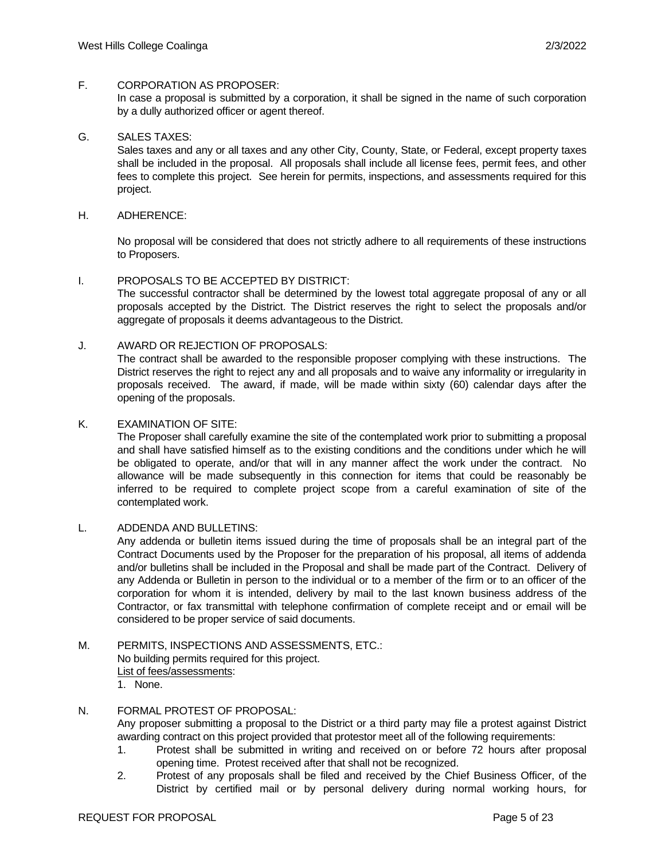#### F. CORPORATION AS PROPOSER:

In case a proposal is submitted by a corporation, it shall be signed in the name of such corporation by a dully authorized officer or agent thereof.

## G. SALES TAXES:

Sales taxes and any or all taxes and any other City, County, State, or Federal, except property taxes shall be included in the proposal. All proposals shall include all license fees, permit fees, and other fees to complete this project. See herein for permits, inspections, and assessments required for this project.

#### H. ADHERENCE:

No proposal will be considered that does not strictly adhere to all requirements of these instructions to Proposers.

#### I. PROPOSALS TO BE ACCEPTED BY DISTRICT:

The successful contractor shall be determined by the lowest total aggregate proposal of any or all proposals accepted by the District. The District reserves the right to select the proposals and/or aggregate of proposals it deems advantageous to the District.

#### J. AWARD OR REJECTION OF PROPOSALS:

The contract shall be awarded to the responsible proposer complying with these instructions. The District reserves the right to reject any and all proposals and to waive any informality or irregularity in proposals received. The award, if made, will be made within sixty (60) calendar days after the opening of the proposals.

#### K. EXAMINATION OF SITE:

The Proposer shall carefully examine the site of the contemplated work prior to submitting a proposal and shall have satisfied himself as to the existing conditions and the conditions under which he will be obligated to operate, and/or that will in any manner affect the work under the contract. No allowance will be made subsequently in this connection for items that could be reasonably be inferred to be required to complete project scope from a careful examination of site of the contemplated work.

#### L. ADDENDA AND BULLETINS:

Any addenda or bulletin items issued during the time of proposals shall be an integral part of the Contract Documents used by the Proposer for the preparation of his proposal, all items of addenda and/or bulletins shall be included in the Proposal and shall be made part of the Contract. Delivery of any Addenda or Bulletin in person to the individual or to a member of the firm or to an officer of the corporation for whom it is intended, delivery by mail to the last known business address of the Contractor, or fax transmittal with telephone confirmation of complete receipt and or email will be considered to be proper service of said documents.

# M. PERMITS, INSPECTIONS AND ASSESSMENTS, ETC.: No building permits required for this project. List of fees/assessments:

1. None.

## N. FORMAL PROTEST OF PROPOSAL:

Any proposer submitting a proposal to the District or a third party may file a protest against District awarding contract on this project provided that protestor meet all of the following requirements:

- 1. Protest shall be submitted in writing and received on or before 72 hours after proposal opening time. Protest received after that shall not be recognized.
- 2. Protest of any proposals shall be filed and received by the Chief Business Officer, of the District by certified mail or by personal delivery during normal working hours, for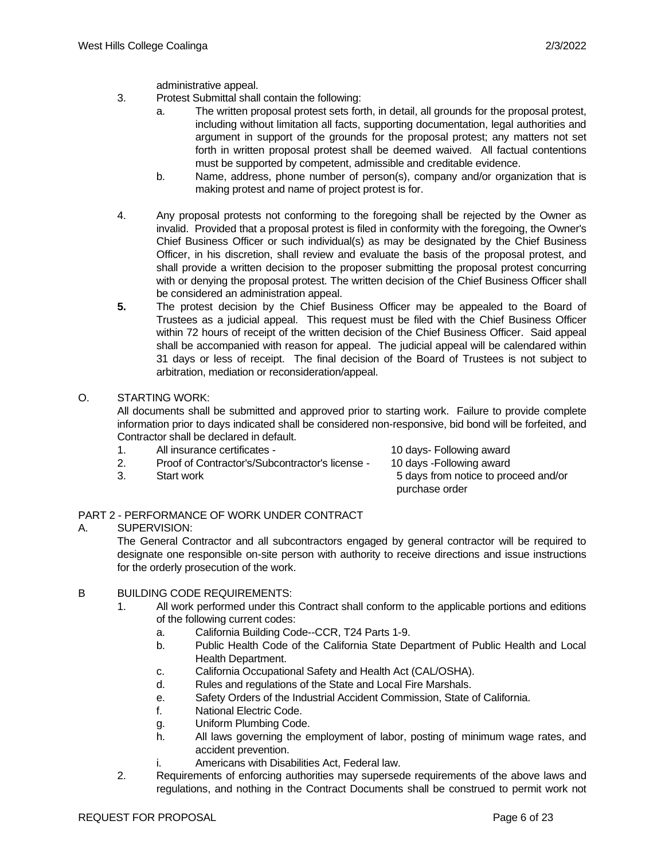administrative appeal.

- 3. Protest Submittal shall contain the following:
	- a. The written proposal protest sets forth, in detail, all grounds for the proposal protest, including without limitation all facts, supporting documentation, legal authorities and argument in support of the grounds for the proposal protest; any matters not set forth in written proposal protest shall be deemed waived. All factual contentions must be supported by competent, admissible and creditable evidence.
	- b. Name, address, phone number of person(s), company and/or organization that is making protest and name of project protest is for.
- 4. Any proposal protests not conforming to the foregoing shall be rejected by the Owner as invalid. Provided that a proposal protest is filed in conformity with the foregoing, the Owner's Chief Business Officer or such individual(s) as may be designated by the Chief Business Officer, in his discretion, shall review and evaluate the basis of the proposal protest, and shall provide a written decision to the proposer submitting the proposal protest concurring with or denying the proposal protest. The written decision of the Chief Business Officer shall be considered an administration appeal.
- **5.** The protest decision by the Chief Business Officer may be appealed to the Board of Trustees as a judicial appeal. This request must be filed with the Chief Business Officer within 72 hours of receipt of the written decision of the Chief Business Officer. Said appeal shall be accompanied with reason for appeal. The judicial appeal will be calendared within 31 days or less of receipt. The final decision of the Board of Trustees is not subject to arbitration, mediation or reconsideration/appeal.

### O. STARTING WORK:

All documents shall be submitted and approved prior to starting work. Failure to provide complete information prior to days indicated shall be considered non-responsive, bid bond will be forfeited, and Contractor shall be declared in default.

- 1. All insurance certificates 10 days- Following award
- 2. Proof of Contractor's/Subcontractor's license 10 days -Following award
- 

3. Start work 5 days from notice to proceed and/or purchase order

### PART 2 - PERFORMANCE OF WORK UNDER CONTRACT

### A. SUPERVISION:

The General Contractor and all subcontractors engaged by general contractor will be required to designate one responsible on-site person with authority to receive directions and issue instructions for the orderly prosecution of the work.

- B BUILDING CODE REQUIREMENTS:
	- 1. All work performed under this Contract shall conform to the applicable portions and editions of the following current codes:
		- a. California Building Code--CCR, T24 Parts 1-9.
		- b. Public Health Code of the California State Department of Public Health and Local Health Department.
		- c. California Occupational Safety and Health Act (CAL/OSHA).
		- d. Rules and regulations of the State and Local Fire Marshals.
		- e. Safety Orders of the Industrial Accident Commission, State of California.
		- f. National Electric Code.
		- g. Uniform Plumbing Code.
		- h. All laws governing the employment of labor, posting of minimum wage rates, and accident prevention.
		- i. Americans with Disabilities Act, Federal law.
	- 2. Requirements of enforcing authorities may supersede requirements of the above laws and regulations, and nothing in the Contract Documents shall be construed to permit work not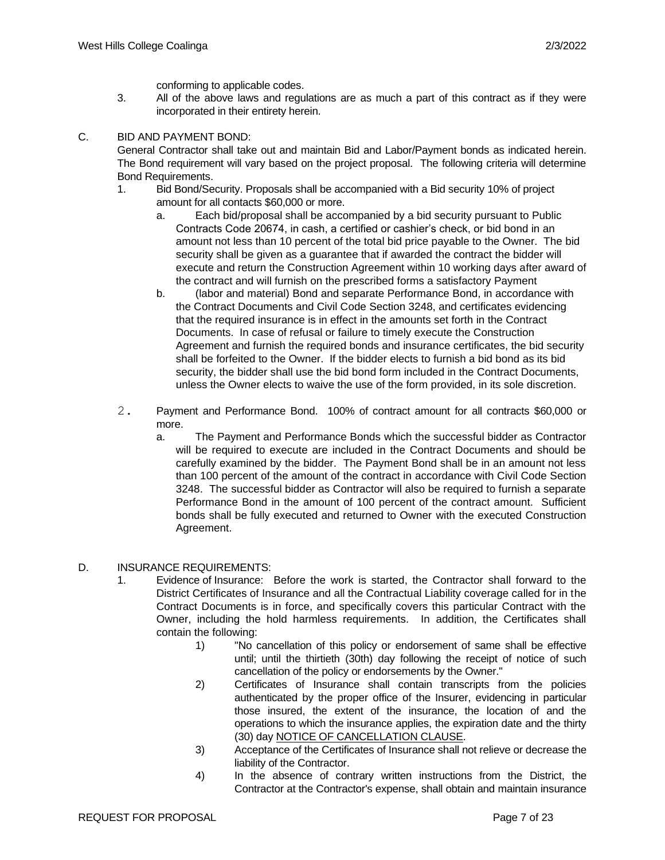conforming to applicable codes.

3. All of the above laws and regulations are as much a part of this contract as if they were incorporated in their entirety herein.

### C. BID AND PAYMENT BOND:

General Contractor shall take out and maintain Bid and Labor/Payment bonds as indicated herein. The Bond requirement will vary based on the project proposal. The following criteria will determine Bond Requirements.

- 1. Bid Bond/Security. Proposals shall be accompanied with a Bid security 10% of project amount for all contacts \$60,000 or more.
	- a. Each bid/proposal shall be accompanied by a bid security pursuant to Public Contracts Code 20674, in cash, a certified or cashier's check, or bid bond in an amount not less than 10 percent of the total bid price payable to the Owner. The bid security shall be given as a guarantee that if awarded the contract the bidder will execute and return the Construction Agreement within 10 working days after award of the contract and will furnish on the prescribed forms a satisfactory Payment
	- b. (labor and material) Bond and separate Performance Bond, in accordance with the Contract Documents and Civil Code Section 3248, and certificates evidencing that the required insurance is in effect in the amounts set forth in the Contract Documents. In case of refusal or failure to timely execute the Construction Agreement and furnish the required bonds and insurance certificates, the bid security shall be forfeited to the Owner. If the bidder elects to furnish a bid bond as its bid security, the bidder shall use the bid bond form included in the Contract Documents, unless the Owner elects to waive the use of the form provided, in its sole discretion.
- 2. Payment and Performance Bond. 100% of contract amount for all contracts \$60,000 or more.
	- a. The Payment and Performance Bonds which the successful bidder as Contractor will be required to execute are included in the Contract Documents and should be carefully examined by the bidder. The Payment Bond shall be in an amount not less than 100 percent of the amount of the contract in accordance with Civil Code Section 3248. The successful bidder as Contractor will also be required to furnish a separate Performance Bond in the amount of 100 percent of the contract amount. Sufficient bonds shall be fully executed and returned to Owner with the executed Construction Agreement.

#### D. INSURANCE REQUIREMENTS:

- 1. Evidence of Insurance: Before the work is started, the Contractor shall forward to the District Certificates of Insurance and all the Contractual Liability coverage called for in the Contract Documents is in force, and specifically covers this particular Contract with the Owner, including the hold harmless requirements. In addition, the Certificates shall contain the following:
	- 1) "No cancellation of this policy or endorsement of same shall be effective until; until the thirtieth (30th) day following the receipt of notice of such cancellation of the policy or endorsements by the Owner."
	- 2) Certificates of Insurance shall contain transcripts from the policies authenticated by the proper office of the Insurer, evidencing in particular those insured, the extent of the insurance, the location of and the operations to which the insurance applies, the expiration date and the thirty (30) day NOTICE OF CANCELLATION CLAUSE.
	- 3) Acceptance of the Certificates of Insurance shall not relieve or decrease the liability of the Contractor.
	- 4) In the absence of contrary written instructions from the District, the Contractor at the Contractor's expense, shall obtain and maintain insurance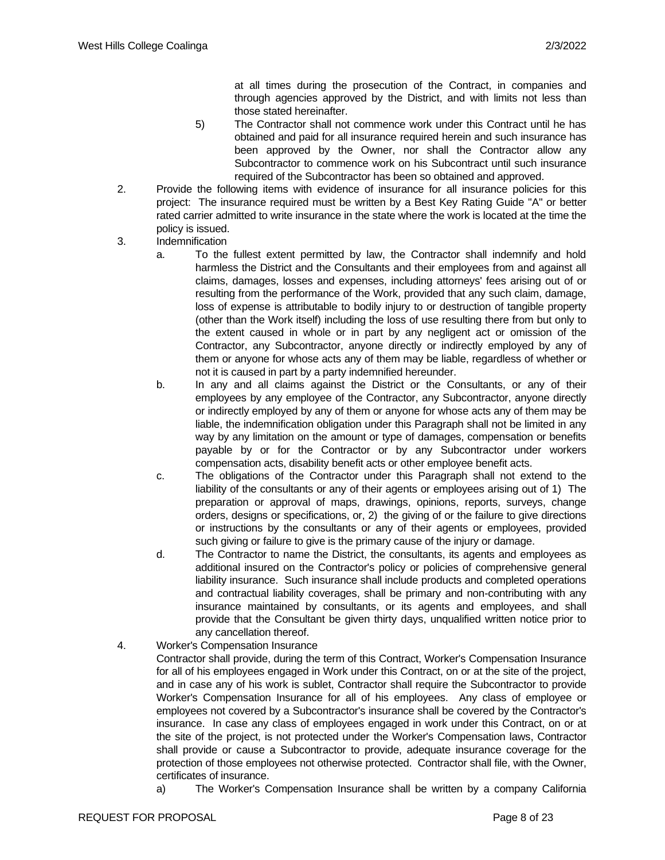at all times during the prosecution of the Contract, in companies and through agencies approved by the District, and with limits not less than those stated hereinafter.

- 5) The Contractor shall not commence work under this Contract until he has obtained and paid for all insurance required herein and such insurance has been approved by the Owner, nor shall the Contractor allow any Subcontractor to commence work on his Subcontract until such insurance required of the Subcontractor has been so obtained and approved.
- 2. Provide the following items with evidence of insurance for all insurance policies for this project: The insurance required must be written by a Best Key Rating Guide "A" or better rated carrier admitted to write insurance in the state where the work is located at the time the policy is issued.
- 3. Indemnification
	- a. To the fullest extent permitted by law, the Contractor shall indemnify and hold harmless the District and the Consultants and their employees from and against all claims, damages, losses and expenses, including attorneys' fees arising out of or resulting from the performance of the Work, provided that any such claim, damage, loss of expense is attributable to bodily injury to or destruction of tangible property (other than the Work itself) including the loss of use resulting there from but only to the extent caused in whole or in part by any negligent act or omission of the Contractor, any Subcontractor, anyone directly or indirectly employed by any of them or anyone for whose acts any of them may be liable, regardless of whether or not it is caused in part by a party indemnified hereunder.
	- b. In any and all claims against the District or the Consultants, or any of their employees by any employee of the Contractor, any Subcontractor, anyone directly or indirectly employed by any of them or anyone for whose acts any of them may be liable, the indemnification obligation under this Paragraph shall not be limited in any way by any limitation on the amount or type of damages, compensation or benefits payable by or for the Contractor or by any Subcontractor under workers compensation acts, disability benefit acts or other employee benefit acts.
	- c. The obligations of the Contractor under this Paragraph shall not extend to the liability of the consultants or any of their agents or employees arising out of 1) The preparation or approval of maps, drawings, opinions, reports, surveys, change orders, designs or specifications, or, 2) the giving of or the failure to give directions or instructions by the consultants or any of their agents or employees, provided such giving or failure to give is the primary cause of the injury or damage.
	- d. The Contractor to name the District, the consultants, its agents and employees as additional insured on the Contractor's policy or policies of comprehensive general liability insurance. Such insurance shall include products and completed operations and contractual liability coverages, shall be primary and non-contributing with any insurance maintained by consultants, or its agents and employees, and shall provide that the Consultant be given thirty days, unqualified written notice prior to any cancellation thereof.
- 4. Worker's Compensation Insurance

Contractor shall provide, during the term of this Contract, Worker's Compensation Insurance for all of his employees engaged in Work under this Contract, on or at the site of the project, and in case any of his work is sublet, Contractor shall require the Subcontractor to provide Worker's Compensation Insurance for all of his employees. Any class of employee or employees not covered by a Subcontractor's insurance shall be covered by the Contractor's insurance. In case any class of employees engaged in work under this Contract, on or at the site of the project, is not protected under the Worker's Compensation laws, Contractor shall provide or cause a Subcontractor to provide, adequate insurance coverage for the protection of those employees not otherwise protected. Contractor shall file, with the Owner, certificates of insurance.

a) The Worker's Compensation Insurance shall be written by a company California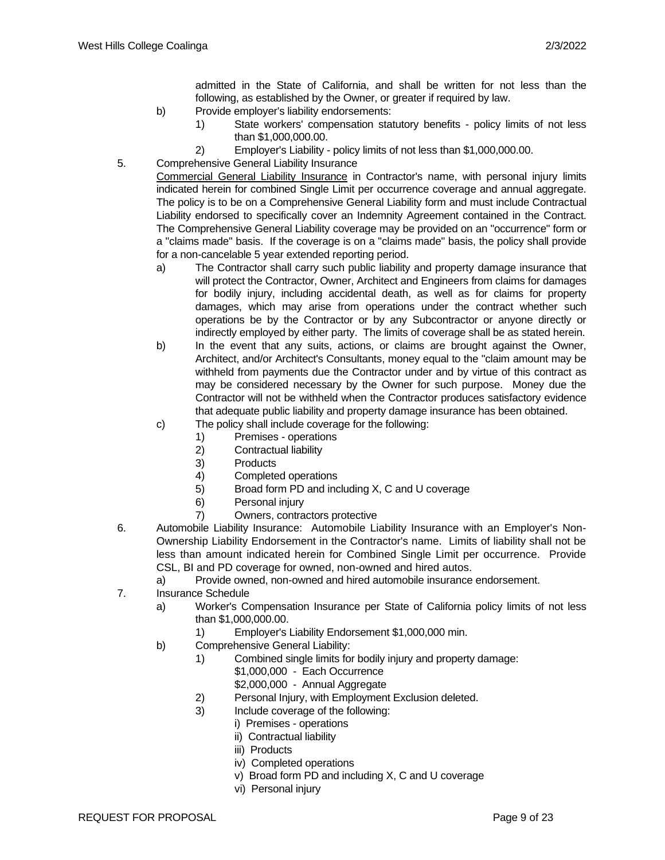admitted in the State of California, and shall be written for not less than the following, as established by the Owner, or greater if required by law.

- b) Provide employer's liability endorsements:
	- 1) State workers' compensation statutory benefits policy limits of not less than \$1,000,000.00.
	- 2) Employer's Liability policy limits of not less than \$1,000,000.00.
- 5. Comprehensive General Liability Insurance

Commercial General Liability Insurance in Contractor's name, with personal injury limits indicated herein for combined Single Limit per occurrence coverage and annual aggregate. The policy is to be on a Comprehensive General Liability form and must include Contractual Liability endorsed to specifically cover an Indemnity Agreement contained in the Contract. The Comprehensive General Liability coverage may be provided on an "occurrence" form or a "claims made" basis. If the coverage is on a "claims made" basis, the policy shall provide for a non-cancelable 5 year extended reporting period.

- a) The Contractor shall carry such public liability and property damage insurance that will protect the Contractor, Owner, Architect and Engineers from claims for damages for bodily injury, including accidental death, as well as for claims for property damages, which may arise from operations under the contract whether such operations be by the Contractor or by any Subcontractor or anyone directly or indirectly employed by either party. The limits of coverage shall be as stated herein.
- b) In the event that any suits, actions, or claims are brought against the Owner, Architect, and/or Architect's Consultants, money equal to the "claim amount may be withheld from payments due the Contractor under and by virtue of this contract as may be considered necessary by the Owner for such purpose. Money due the Contractor will not be withheld when the Contractor produces satisfactory evidence that adequate public liability and property damage insurance has been obtained.
- c) The policy shall include coverage for the following:
	- 1) Premises operations
	- 2) Contractual liability
	- 3) Products
	- 4) Completed operations
	- 5) Broad form PD and including X, C and U coverage
	- 6) Personal injury
	- 7) Owners, contractors protective
- 6. Automobile Liability Insurance: Automobile Liability Insurance with an Employer's Non-Ownership Liability Endorsement in the Contractor's name. Limits of liability shall not be less than amount indicated herein for Combined Single Limit per occurrence. Provide CSL, BI and PD coverage for owned, non-owned and hired autos.
	- a) Provide owned, non-owned and hired automobile insurance endorsement.
- 7. Insurance Schedule
	- a) Worker's Compensation Insurance per State of California policy limits of not less than \$1,000,000.00.
		- 1) Employer's Liability Endorsement \$1,000,000 min.
	- b) Comprehensive General Liability:
		- 1) Combined single limits for bodily injury and property damage:
			- \$1,000,000 Each Occurrence
				- \$2,000,000 Annual Aggregate
		- 2) Personal Injury, with Employment Exclusion deleted.
		- 3) Include coverage of the following:
			- i) Premises operations
				- ii) Contractual liability
				- iii) Products
				- iv) Completed operations
				- v) Broad form PD and including X, C and U coverage
				- vi) Personal injury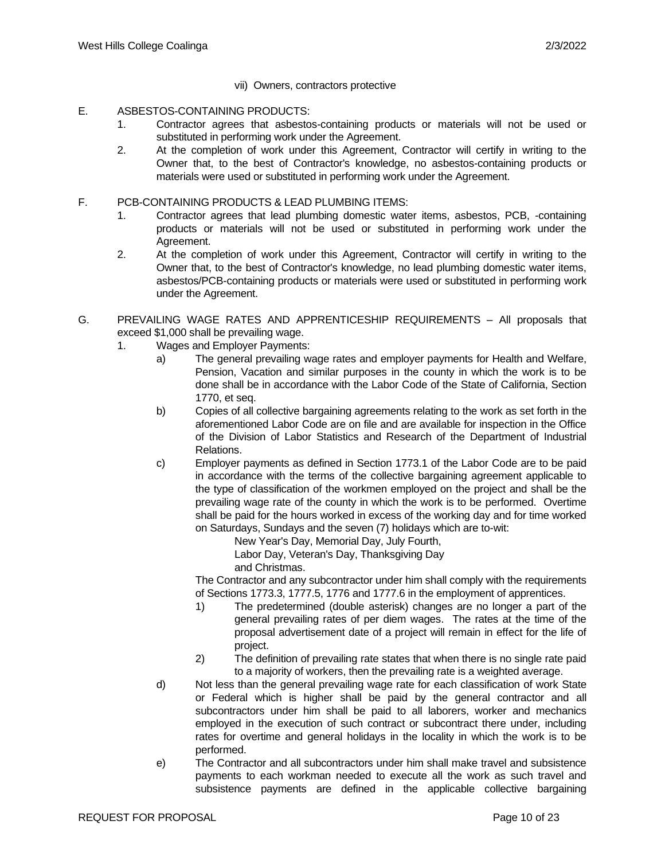- vii) Owners, contractors protective
- E. ASBESTOS-CONTAINING PRODUCTS:
	- 1. Contractor agrees that asbestos-containing products or materials will not be used or substituted in performing work under the Agreement.
	- 2. At the completion of work under this Agreement, Contractor will certify in writing to the Owner that, to the best of Contractor's knowledge, no asbestos-containing products or materials were used or substituted in performing work under the Agreement.
- F. PCB-CONTAINING PRODUCTS & LEAD PLUMBING ITEMS:
	- 1. Contractor agrees that lead plumbing domestic water items, asbestos, PCB, -containing products or materials will not be used or substituted in performing work under the Agreement.
	- 2. At the completion of work under this Agreement, Contractor will certify in writing to the Owner that, to the best of Contractor's knowledge, no lead plumbing domestic water items, asbestos/PCB-containing products or materials were used or substituted in performing work under the Agreement.
- G. PREVAILING WAGE RATES AND APPRENTICESHIP REQUIREMENTS All proposals that exceed \$1,000 shall be prevailing wage.
	- 1. Wages and Employer Payments:
		- a) The general prevailing wage rates and employer payments for Health and Welfare, Pension, Vacation and similar purposes in the county in which the work is to be done shall be in accordance with the Labor Code of the State of California, Section 1770, et seq.
		- b) Copies of all collective bargaining agreements relating to the work as set forth in the aforementioned Labor Code are on file and are available for inspection in the Office of the Division of Labor Statistics and Research of the Department of Industrial Relations.
		- c) Employer payments as defined in Section 1773.1 of the Labor Code are to be paid in accordance with the terms of the collective bargaining agreement applicable to the type of classification of the workmen employed on the project and shall be the prevailing wage rate of the county in which the work is to be performed. Overtime shall be paid for the hours worked in excess of the working day and for time worked on Saturdays, Sundays and the seven (7) holidays which are to-wit:

New Year's Day, Memorial Day, July Fourth, Labor Day, Veteran's Day, Thanksgiving Day and Christmas.

The Contractor and any subcontractor under him shall comply with the requirements of Sections 1773.3, 1777.5, 1776 and 1777.6 in the employment of apprentices.

- 1) The predetermined (double asterisk) changes are no longer a part of the general prevailing rates of per diem wages. The rates at the time of the proposal advertisement date of a project will remain in effect for the life of project.
- 2) The definition of prevailing rate states that when there is no single rate paid to a majority of workers, then the prevailing rate is a weighted average.
- d) Not less than the general prevailing wage rate for each classification of work State or Federal which is higher shall be paid by the general contractor and all subcontractors under him shall be paid to all laborers, worker and mechanics employed in the execution of such contract or subcontract there under, including rates for overtime and general holidays in the locality in which the work is to be performed.
- e) The Contractor and all subcontractors under him shall make travel and subsistence payments to each workman needed to execute all the work as such travel and subsistence payments are defined in the applicable collective bargaining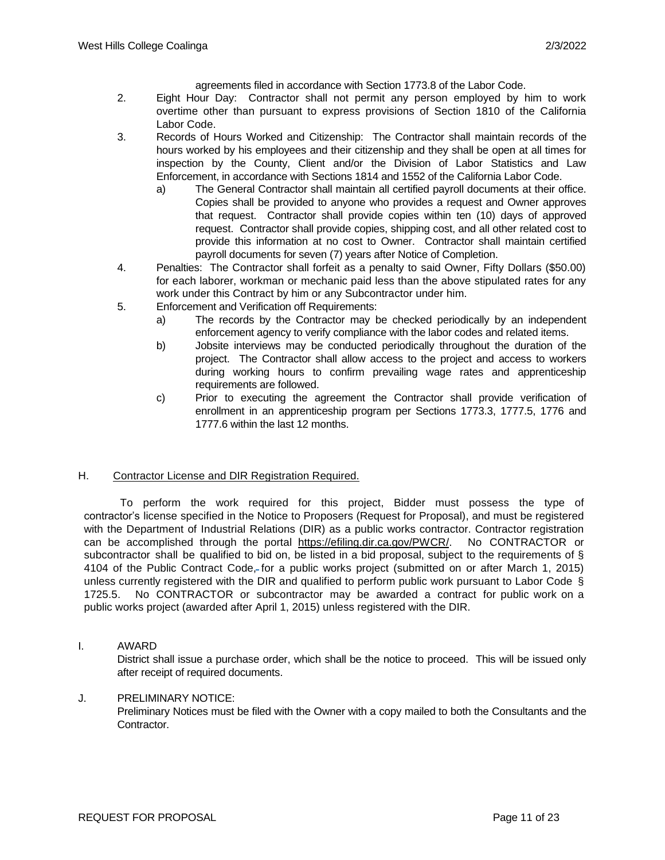agreements filed in accordance with Section 1773.8 of the Labor Code.

- 2. Eight Hour Day: Contractor shall not permit any person employed by him to work overtime other than pursuant to express provisions of Section 1810 of the California Labor Code.
- 3. Records of Hours Worked and Citizenship: The Contractor shall maintain records of the hours worked by his employees and their citizenship and they shall be open at all times for inspection by the County, Client and/or the Division of Labor Statistics and Law Enforcement, in accordance with Sections 1814 and 1552 of the California Labor Code.
	- a) The General Contractor shall maintain all certified payroll documents at their office. Copies shall be provided to anyone who provides a request and Owner approves that request. Contractor shall provide copies within ten (10) days of approved request. Contractor shall provide copies, shipping cost, and all other related cost to provide this information at no cost to Owner. Contractor shall maintain certified payroll documents for seven (7) years after Notice of Completion.
- 4. Penalties: The Contractor shall forfeit as a penalty to said Owner, Fifty Dollars (\$50.00) for each laborer, workman or mechanic paid less than the above stipulated rates for any work under this Contract by him or any Subcontractor under him.
- 5. Enforcement and Verification off Requirements:
	- a) The records by the Contractor may be checked periodically by an independent enforcement agency to verify compliance with the labor codes and related items.
	- b) Jobsite interviews may be conducted periodically throughout the duration of the project. The Contractor shall allow access to the project and access to workers during working hours to confirm prevailing wage rates and apprenticeship requirements are followed.
	- c) Prior to executing the agreement the Contractor shall provide verification of enrollment in an apprenticeship program per Sections 1773.3, 1777.5, 1776 and 1777.6 within the last 12 months.

### H. Contractor License and DIR Registration Required.

 To perform the work required for this project, Bidder must possess the type of contractor's license specified in the Notice to Proposers (Request for Proposal), and must be registered with the Department of Industrial Relations (DIR) as a public works contractor. Contractor registration can be accomplished through the portal https://efiling.dir.ca.gov/PWCR/. No CONTRACTOR or subcontractor shall be qualified to bid on, be listed in a bid proposal, subject to the requirements of § 4104 of the Public Contract Code, for a public works project (submitted on or after March 1, 2015) unless currently registered with the DIR and qualified to perform public work pursuant to Labor Code § 1725.5. No CONTRACTOR or subcontractor may be awarded a contract for public work on a public works project (awarded after April 1, 2015) unless registered with the DIR.

I. AWARD

District shall issue a purchase order, which shall be the notice to proceed. This will be issued only after receipt of required documents.

#### J. PRELIMINARY NOTICE:

Preliminary Notices must be filed with the Owner with a copy mailed to both the Consultants and the Contractor.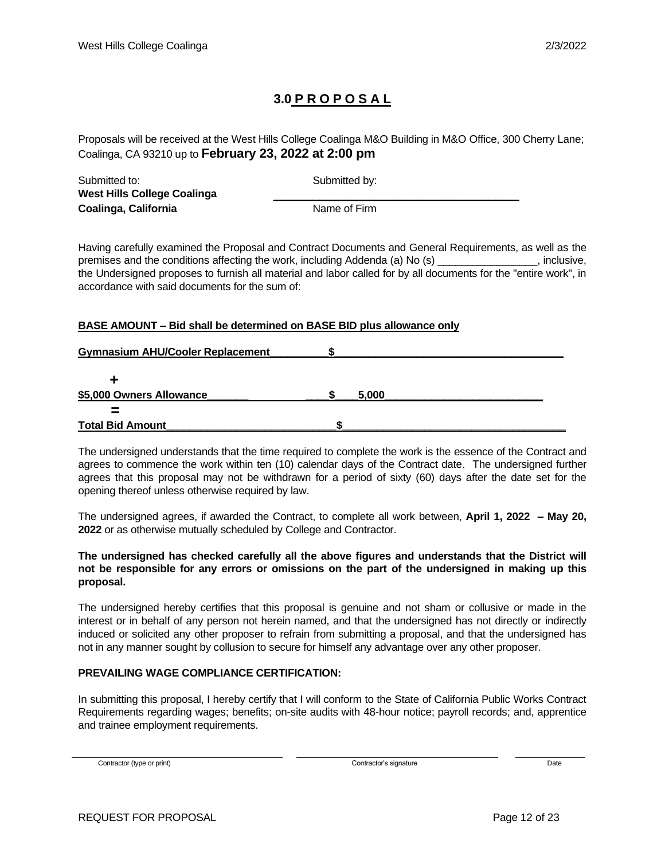# **3.0 P R O P O S A L**

Proposals will be received at the West Hills College Coalinga M&O Building in M&O Office, 300 Cherry Lane; Coalinga, CA 93210 up to **February 23, 2022 at 2:00 pm**

| Submitted to:                      | Submitted by: |
|------------------------------------|---------------|
| <b>West Hills College Coalinga</b> |               |
| Coalinga, California               | Name of Firm  |

Having carefully examined the Proposal and Contract Documents and General Requirements, as well as the premises and the conditions affecting the work, including Addenda (a) No (s) \_\_\_\_\_\_\_\_\_\_\_\_\_\_\_, inclusive, the Undersigned proposes to furnish all material and labor called for by all documents for the "entire work", in accordance with said documents for the sum of:

### **BASE AMOUNT – Bid shall be determined on BASE BID plus allowance only**

| <b>Gymnasium AHU/Cooler Replacement</b> |       |  |
|-----------------------------------------|-------|--|
|                                         |       |  |
|                                         |       |  |
| \$5,000 Owners Allowance                | 5.000 |  |
|                                         |       |  |
| <b>Total Bid Amount</b>                 |       |  |

The undersigned understands that the time required to complete the work is the essence of the Contract and agrees to commence the work within ten (10) calendar days of the Contract date. The undersigned further agrees that this proposal may not be withdrawn for a period of sixty (60) days after the date set for the opening thereof unless otherwise required by law.

The undersigned agrees, if awarded the Contract, to complete all work between, **April 1, 2022 – May 20, 2022** or as otherwise mutually scheduled by College and Contractor.

#### **The undersigned has checked carefully all the above figures and understands that the District will not be responsible for any errors or omissions on the part of the undersigned in making up this proposal.**

The undersigned hereby certifies that this proposal is genuine and not sham or collusive or made in the interest or in behalf of any person not herein named, and that the undersigned has not directly or indirectly induced or solicited any other proposer to refrain from submitting a proposal, and that the undersigned has not in any manner sought by collusion to secure for himself any advantage over any other proposer.

### **PREVAILING WAGE COMPLIANCE CERTIFICATION:**

In submitting this proposal, I hereby certify that I will conform to the State of California Public Works Contract Requirements regarding wages; benefits; on-site audits with 48-hour notice; payroll records; and, apprentice and trainee employment requirements.

Contractor (type or print) Date Date Contractor's signature Contractor's signature Date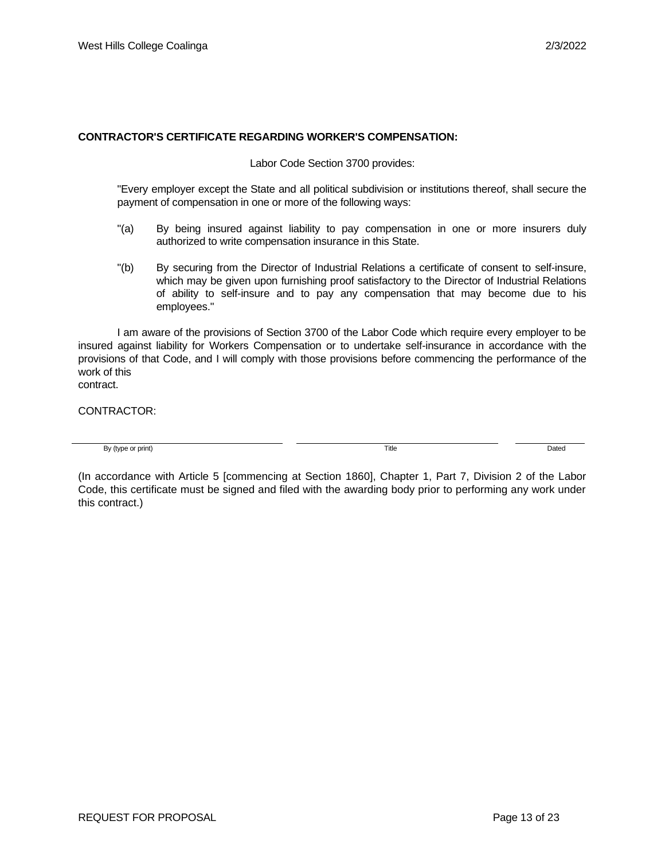#### **CONTRACTOR'S CERTIFICATE REGARDING WORKER'S COMPENSATION:**

Labor Code Section 3700 provides:

"Every employer except the State and all political subdivision or institutions thereof, shall secure the payment of compensation in one or more of the following ways:

- "(a) By being insured against liability to pay compensation in one or more insurers duly authorized to write compensation insurance in this State.
- "(b) By securing from the Director of Industrial Relations a certificate of consent to self-insure, which may be given upon furnishing proof satisfactory to the Director of Industrial Relations of ability to self-insure and to pay any compensation that may become due to his employees."

I am aware of the provisions of Section 3700 of the Labor Code which require every employer to be insured against liability for Workers Compensation or to undertake self-insurance in accordance with the provisions of that Code, and I will comply with those provisions before commencing the performance of the work of this contract.

CONTRACTOR:

By (type or print) **Dated** Dated **Dated CONS Title CONS CONS CONS CONS CONS CONS CONS CONS CONS CONS CONS CONS CONS CONS CONS CONS CONS CONS CONS CONS CONS CONS CONS CONS** 

(In accordance with Article 5 [commencing at Section 1860], Chapter 1, Part 7, Division 2 of the Labor Code, this certificate must be signed and filed with the awarding body prior to performing any work under this contract.)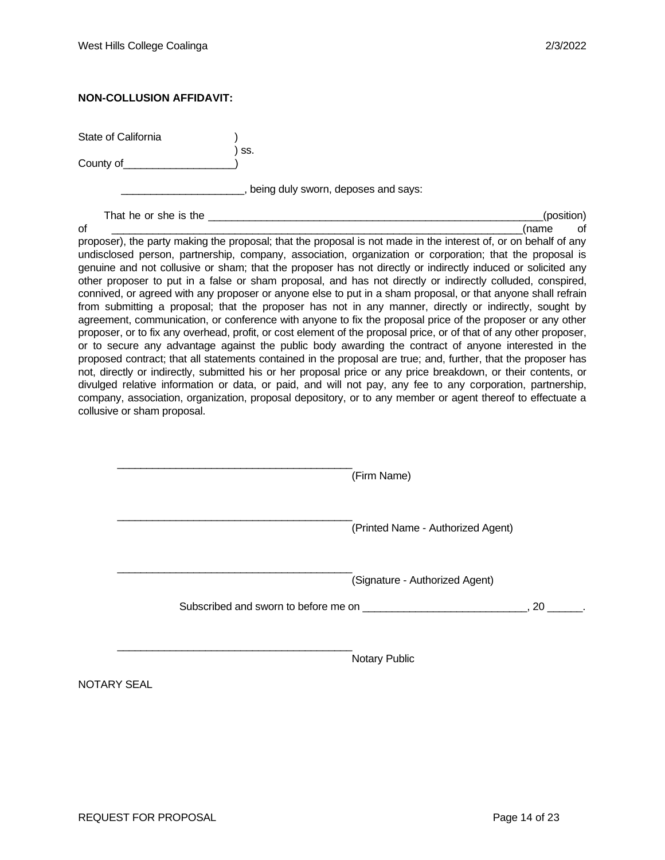#### **NON-COLLUSION AFFIDAVIT:**

State of California

County of\_\_\_\_\_\_\_\_\_\_\_\_\_\_\_\_\_\_\_)

) ss.

**ware component of the sum of the set of the says:** 

That he or she is the the state of the state of the state of the state of the state of the state of the state of the state of the state of the state of the state of the state of the state of the state of the state of the s

of \_\_\_\_\_\_\_\_\_\_\_\_\_\_\_\_\_\_\_\_\_\_\_\_\_\_\_\_\_\_\_\_\_\_\_\_\_\_\_\_\_\_\_\_\_\_\_\_\_\_\_\_\_\_\_\_\_\_\_\_\_\_\_\_\_\_\_\_\_\_(name of proposer), the party making the proposal; that the proposal is not made in the interest of, or on behalf of any undisclosed person, partnership, company, association, organization or corporation; that the proposal is genuine and not collusive or sham; that the proposer has not directly or indirectly induced or solicited any other proposer to put in a false or sham proposal, and has not directly or indirectly colluded, conspired, connived, or agreed with any proposer or anyone else to put in a sham proposal, or that anyone shall refrain from submitting a proposal; that the proposer has not in any manner, directly or indirectly, sought by agreement, communication, or conference with anyone to fix the proposal price of the proposer or any other proposer, or to fix any overhead, profit, or cost element of the proposal price, or of that of any other proposer, or to secure any advantage against the public body awarding the contract of anyone interested in the proposed contract; that all statements contained in the proposal are true; and, further, that the proposer has not, directly or indirectly, submitted his or her proposal price or any price breakdown, or their contents, or divulged relative information or data, or paid, and will not pay, any fee to any corporation, partnership, company, association, organization, proposal depository, or to any member or agent thereof to effectuate a collusive or sham proposal.

| (Printed Name - Authorized Agent)                    |
|------------------------------------------------------|
| (Signature - Authorized Agent)<br>$20 \qquad \qquad$ |
|                                                      |
|                                                      |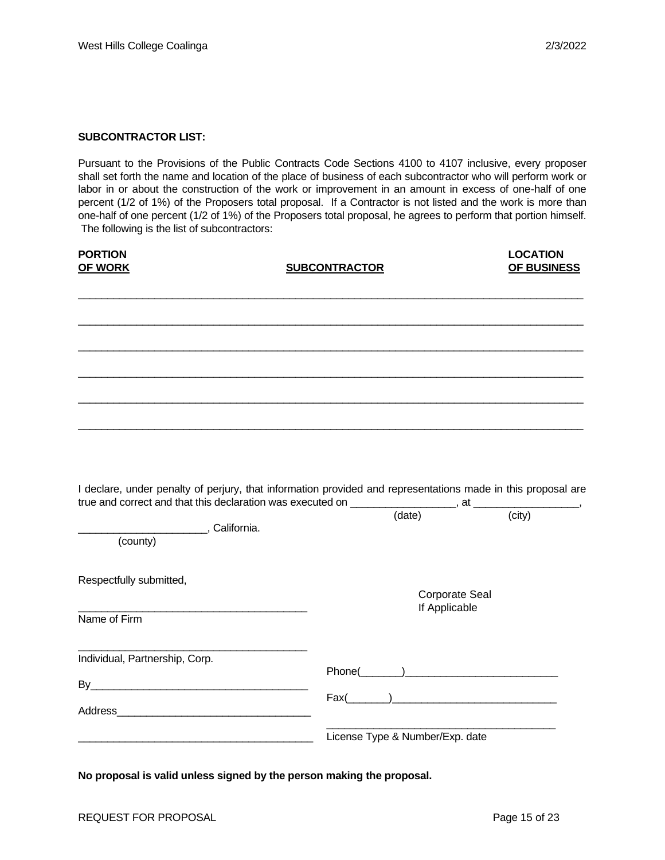#### **SUBCONTRACTOR LIST:**

Pursuant to the Provisions of the Public Contracts Code Sections 4100 to 4107 inclusive, every proposer shall set forth the name and location of the place of business of each subcontractor who will perform work or labor in or about the construction of the work or improvement in an amount in excess of one-half of one percent (1/2 of 1%) of the Proposers total proposal. If a Contractor is not listed and the work is more than one-half of one percent (1/2 of 1%) of the Proposers total proposal, he agrees to perform that portion himself. The following is the list of subcontractors:

| <b>PORTION</b><br><b>OF WORK</b>                                                                                                                                                                                                                                    | <b>SUBCONTRACTOR</b> |                                        | <b>LOCATION</b><br>OF BUSINESS |
|---------------------------------------------------------------------------------------------------------------------------------------------------------------------------------------------------------------------------------------------------------------------|----------------------|----------------------------------------|--------------------------------|
|                                                                                                                                                                                                                                                                     |                      |                                        |                                |
|                                                                                                                                                                                                                                                                     |                      |                                        |                                |
|                                                                                                                                                                                                                                                                     |                      |                                        |                                |
|                                                                                                                                                                                                                                                                     |                      |                                        |                                |
| I declare, under penalty of perjury, that information provided and representations made in this proposal are<br>I declare, under perially of perialty, that information $r = 0.5$ . The contract of $r = 0.5$ at $r = 0.5$ (city) (city)<br>California.<br>(county) |                      |                                        |                                |
| Respectfully submitted,                                                                                                                                                                                                                                             |                      | <b>Corporate Seal</b><br>If Applicable |                                |
| Name of Firm                                                                                                                                                                                                                                                        |                      |                                        |                                |
| Individual, Partnership, Corp.                                                                                                                                                                                                                                      |                      |                                        | $Fax(\_\_)$                    |
|                                                                                                                                                                                                                                                                     |                      | License Type & Number/Exp. date        |                                |

**No proposal is valid unless signed by the person making the proposal.**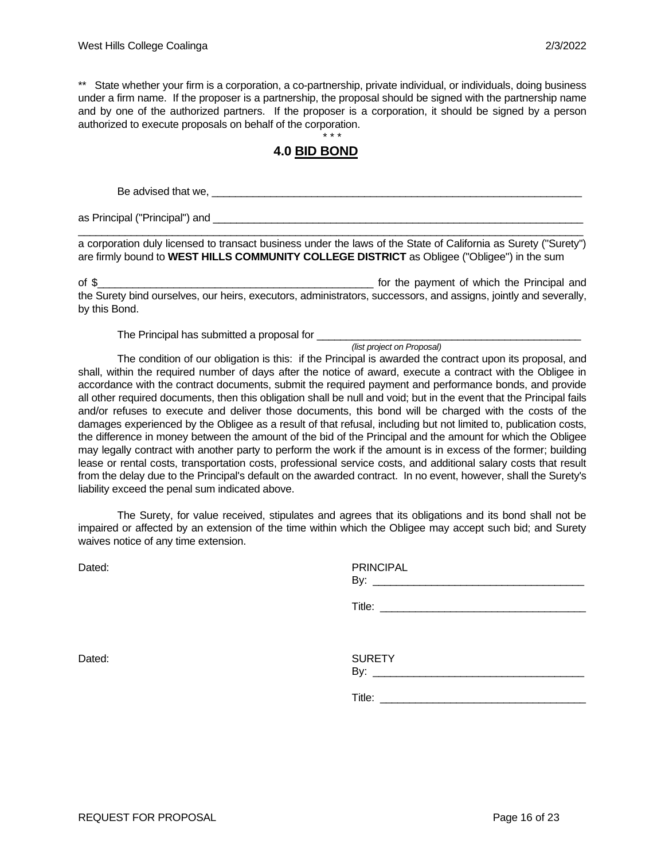\*\* State whether your firm is a corporation, a co-partnership, private individual, or individuals, doing business under a firm name. If the proposer is a partnership, the proposal should be signed with the partnership name and by one of the authorized partners. If the proposer is a corporation, it should be signed by a person authorized to execute proposals on behalf of the corporation.

#### \* \* \* **4.0 BID BOND**

Be advised that we,

as Principal ("Principal") and

\_\_\_\_\_\_\_\_\_\_\_\_\_\_\_\_\_\_\_\_\_\_\_\_\_\_\_\_\_\_\_\_\_\_\_\_\_\_\_\_\_\_\_\_\_\_\_\_\_\_\_\_\_\_\_\_\_\_\_\_\_\_\_\_\_\_\_\_\_\_\_\_\_\_\_\_\_\_\_\_\_\_\_\_\_\_ a corporation duly licensed to transact business under the laws of the State of California as Surety ("Surety") are firmly bound to **WEST HILLS COMMUNITY COLLEGE DISTRICT** as Obligee ("Obligee") in the sum

of \$ the Surety bind ourselves, our heirs, executors, administrators, successors, and assigns, jointly and severally, by this Bond.

The Principal has submitted a proposal for \_\_\_\_\_\_\_\_\_\_\_\_\_\_\_\_\_\_\_\_\_\_\_\_\_\_\_\_\_\_\_\_\_\_\_\_\_\_\_\_\_\_\_\_\_

*(list project on Proposal)*

The condition of our obligation is this: if the Principal is awarded the contract upon its proposal, and shall, within the required number of days after the notice of award, execute a contract with the Obligee in accordance with the contract documents, submit the required payment and performance bonds, and provide all other required documents, then this obligation shall be null and void; but in the event that the Principal fails and/or refuses to execute and deliver those documents, this bond will be charged with the costs of the damages experienced by the Obligee as a result of that refusal, including but not limited to, publication costs, the difference in money between the amount of the bid of the Principal and the amount for which the Obligee may legally contract with another party to perform the work if the amount is in excess of the former; building lease or rental costs, transportation costs, professional service costs, and additional salary costs that result from the delay due to the Principal's default on the awarded contract. In no event, however, shall the Surety's liability exceed the penal sum indicated above.

The Surety, for value received, stipulates and agrees that its obligations and its bond shall not be impaired or affected by an extension of the time within which the Obligee may accept such bid; and Surety waives notice of any time extension.

| Dated: | <b>PRINCIPAL</b>     |  |
|--------|----------------------|--|
|        |                      |  |
|        |                      |  |
| Dated: | <b>SURETY</b><br>By: |  |

Title: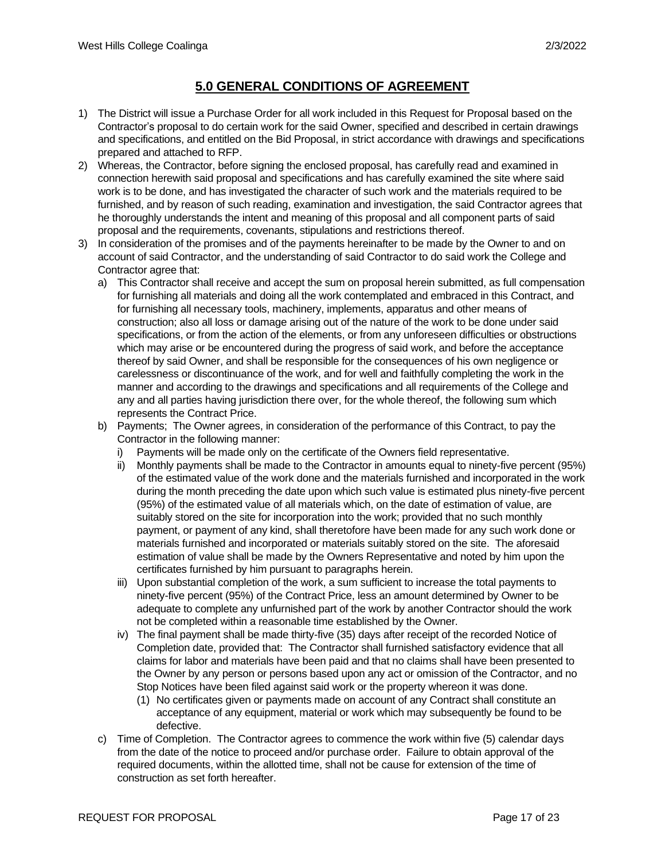# **5.0 GENERAL CONDITIONS OF AGREEMENT**

- 1) The District will issue a Purchase Order for all work included in this Request for Proposal based on the Contractor's proposal to do certain work for the said Owner, specified and described in certain drawings and specifications, and entitled on the Bid Proposal, in strict accordance with drawings and specifications prepared and attached to RFP.
- 2) Whereas, the Contractor, before signing the enclosed proposal, has carefully read and examined in connection herewith said proposal and specifications and has carefully examined the site where said work is to be done, and has investigated the character of such work and the materials required to be furnished, and by reason of such reading, examination and investigation, the said Contractor agrees that he thoroughly understands the intent and meaning of this proposal and all component parts of said proposal and the requirements, covenants, stipulations and restrictions thereof.
- 3) In consideration of the promises and of the payments hereinafter to be made by the Owner to and on account of said Contractor, and the understanding of said Contractor to do said work the College and Contractor agree that:
	- a) This Contractor shall receive and accept the sum on proposal herein submitted, as full compensation for furnishing all materials and doing all the work contemplated and embraced in this Contract, and for furnishing all necessary tools, machinery, implements, apparatus and other means of construction; also all loss or damage arising out of the nature of the work to be done under said specifications, or from the action of the elements, or from any unforeseen difficulties or obstructions which may arise or be encountered during the progress of said work, and before the acceptance thereof by said Owner, and shall be responsible for the consequences of his own negligence or carelessness or discontinuance of the work, and for well and faithfully completing the work in the manner and according to the drawings and specifications and all requirements of the College and any and all parties having jurisdiction there over, for the whole thereof, the following sum which represents the Contract Price.
	- b) Payments; The Owner agrees, in consideration of the performance of this Contract, to pay the Contractor in the following manner:
		- i) Payments will be made only on the certificate of the Owners field representative.
		- ii) Monthly payments shall be made to the Contractor in amounts equal to ninety-five percent (95%) of the estimated value of the work done and the materials furnished and incorporated in the work during the month preceding the date upon which such value is estimated plus ninety-five percent (95%) of the estimated value of all materials which, on the date of estimation of value, are suitably stored on the site for incorporation into the work; provided that no such monthly payment, or payment of any kind, shall theretofore have been made for any such work done or materials furnished and incorporated or materials suitably stored on the site. The aforesaid estimation of value shall be made by the Owners Representative and noted by him upon the certificates furnished by him pursuant to paragraphs herein.
		- iii) Upon substantial completion of the work, a sum sufficient to increase the total payments to ninety-five percent (95%) of the Contract Price, less an amount determined by Owner to be adequate to complete any unfurnished part of the work by another Contractor should the work not be completed within a reasonable time established by the Owner.
		- iv) The final payment shall be made thirty-five (35) days after receipt of the recorded Notice of Completion date, provided that: The Contractor shall furnished satisfactory evidence that all claims for labor and materials have been paid and that no claims shall have been presented to the Owner by any person or persons based upon any act or omission of the Contractor, and no Stop Notices have been filed against said work or the property whereon it was done.
			- (1) No certificates given or payments made on account of any Contract shall constitute an acceptance of any equipment, material or work which may subsequently be found to be defective.
	- c) Time of Completion. The Contractor agrees to commence the work within five (5) calendar days from the date of the notice to proceed and/or purchase order. Failure to obtain approval of the required documents, within the allotted time, shall not be cause for extension of the time of construction as set forth hereafter.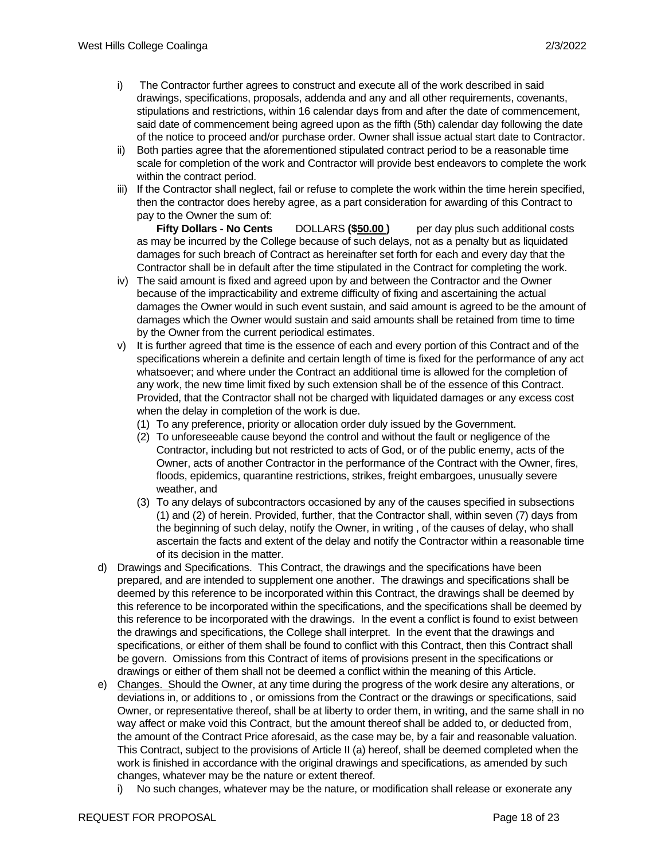- i) The Contractor further agrees to construct and execute all of the work described in said drawings, specifications, proposals, addenda and any and all other requirements, covenants, stipulations and restrictions, within 16 calendar days from and after the date of commencement, said date of commencement being agreed upon as the fifth (5th) calendar day following the date of the notice to proceed and/or purchase order. Owner shall issue actual start date to Contractor.
- ii) Both parties agree that the aforementioned stipulated contract period to be a reasonable time scale for completion of the work and Contractor will provide best endeavors to complete the work within the contract period.
- iii) If the Contractor shall neglect, fail or refuse to complete the work within the time herein specified, then the contractor does hereby agree, as a part consideration for awarding of this Contract to pay to the Owner the sum of:

**Fifty Dollars - No Cents** DOLLARS **(\$50.00 )** per day plus such additional costs as may be incurred by the College because of such delays, not as a penalty but as liquidated damages for such breach of Contract as hereinafter set forth for each and every day that the Contractor shall be in default after the time stipulated in the Contract for completing the work.

- iv) The said amount is fixed and agreed upon by and between the Contractor and the Owner because of the impracticability and extreme difficulty of fixing and ascertaining the actual damages the Owner would in such event sustain, and said amount is agreed to be the amount of damages which the Owner would sustain and said amounts shall be retained from time to time by the Owner from the current periodical estimates.
- v) It is further agreed that time is the essence of each and every portion of this Contract and of the specifications wherein a definite and certain length of time is fixed for the performance of any act whatsoever; and where under the Contract an additional time is allowed for the completion of any work, the new time limit fixed by such extension shall be of the essence of this Contract. Provided, that the Contractor shall not be charged with liquidated damages or any excess cost when the delay in completion of the work is due.
	- (1) To any preference, priority or allocation order duly issued by the Government.
	- (2) To unforeseeable cause beyond the control and without the fault or negligence of the Contractor, including but not restricted to acts of God, or of the public enemy, acts of the Owner, acts of another Contractor in the performance of the Contract with the Owner, fires, floods, epidemics, quarantine restrictions, strikes, freight embargoes, unusually severe weather, and
	- (3) To any delays of subcontractors occasioned by any of the causes specified in subsections (1) and (2) of herein. Provided, further, that the Contractor shall, within seven (7) days from the beginning of such delay, notify the Owner, in writing , of the causes of delay, who shall ascertain the facts and extent of the delay and notify the Contractor within a reasonable time of its decision in the matter.
- d) Drawings and Specifications. This Contract, the drawings and the specifications have been prepared, and are intended to supplement one another. The drawings and specifications shall be deemed by this reference to be incorporated within this Contract, the drawings shall be deemed by this reference to be incorporated within the specifications, and the specifications shall be deemed by this reference to be incorporated with the drawings. In the event a conflict is found to exist between the drawings and specifications, the College shall interpret. In the event that the drawings and specifications, or either of them shall be found to conflict with this Contract, then this Contract shall be govern. Omissions from this Contract of items of provisions present in the specifications or drawings or either of them shall not be deemed a conflict within the meaning of this Article.
- e) Changes. Should the Owner, at any time during the progress of the work desire any alterations, or deviations in, or additions to , or omissions from the Contract or the drawings or specifications, said Owner, or representative thereof, shall be at liberty to order them, in writing, and the same shall in no way affect or make void this Contract, but the amount thereof shall be added to, or deducted from, the amount of the Contract Price aforesaid, as the case may be, by a fair and reasonable valuation. This Contract, subject to the provisions of Article II (a) hereof, shall be deemed completed when the work is finished in accordance with the original drawings and specifications, as amended by such changes, whatever may be the nature or extent thereof.
	- i) No such changes, whatever may be the nature, or modification shall release or exonerate any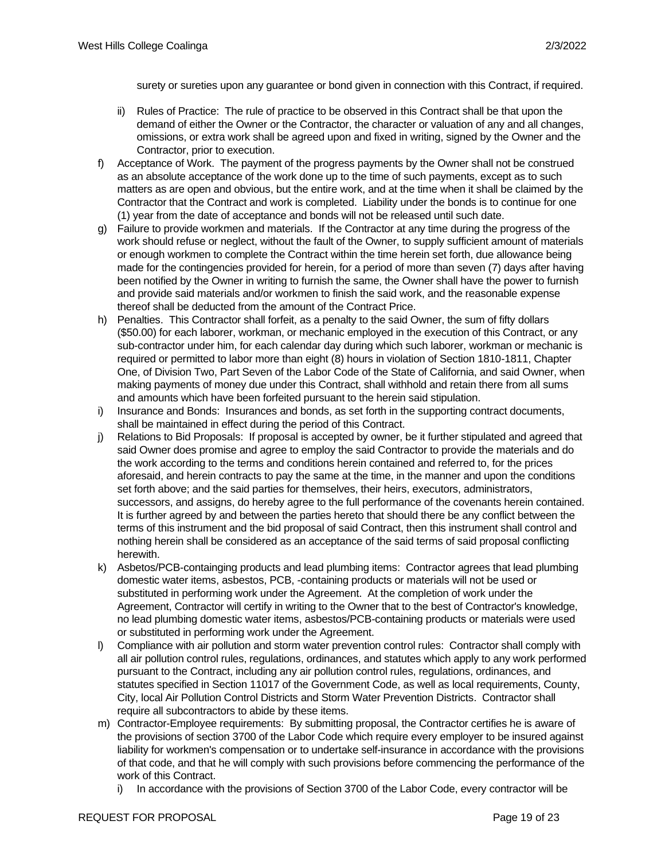surety or sureties upon any guarantee or bond given in connection with this Contract, if required.

- ii) Rules of Practice: The rule of practice to be observed in this Contract shall be that upon the demand of either the Owner or the Contractor, the character or valuation of any and all changes, omissions, or extra work shall be agreed upon and fixed in writing, signed by the Owner and the Contractor, prior to execution.
- f) Acceptance of Work. The payment of the progress payments by the Owner shall not be construed as an absolute acceptance of the work done up to the time of such payments, except as to such matters as are open and obvious, but the entire work, and at the time when it shall be claimed by the Contractor that the Contract and work is completed. Liability under the bonds is to continue for one (1) year from the date of acceptance and bonds will not be released until such date.
- g) Failure to provide workmen and materials. If the Contractor at any time during the progress of the work should refuse or neglect, without the fault of the Owner, to supply sufficient amount of materials or enough workmen to complete the Contract within the time herein set forth, due allowance being made for the contingencies provided for herein, for a period of more than seven (7) days after having been notified by the Owner in writing to furnish the same, the Owner shall have the power to furnish and provide said materials and/or workmen to finish the said work, and the reasonable expense thereof shall be deducted from the amount of the Contract Price.
- h) Penalties. This Contractor shall forfeit, as a penalty to the said Owner, the sum of fifty dollars (\$50.00) for each laborer, workman, or mechanic employed in the execution of this Contract, or any sub-contractor under him, for each calendar day during which such laborer, workman or mechanic is required or permitted to labor more than eight (8) hours in violation of Section 1810-1811, Chapter One, of Division Two, Part Seven of the Labor Code of the State of California, and said Owner, when making payments of money due under this Contract, shall withhold and retain there from all sums and amounts which have been forfeited pursuant to the herein said stipulation.
- i) Insurance and Bonds: Insurances and bonds, as set forth in the supporting contract documents, shall be maintained in effect during the period of this Contract.
- j) Relations to Bid Proposals: If proposal is accepted by owner, be it further stipulated and agreed that said Owner does promise and agree to employ the said Contractor to provide the materials and do the work according to the terms and conditions herein contained and referred to, for the prices aforesaid, and herein contracts to pay the same at the time, in the manner and upon the conditions set forth above; and the said parties for themselves, their heirs, executors, administrators, successors, and assigns, do hereby agree to the full performance of the covenants herein contained. It is further agreed by and between the parties hereto that should there be any conflict between the terms of this instrument and the bid proposal of said Contract, then this instrument shall control and nothing herein shall be considered as an acceptance of the said terms of said proposal conflicting herewith.
- k) Asbetos/PCB-containging products and lead plumbing items: Contractor agrees that lead plumbing domestic water items, asbestos, PCB, -containing products or materials will not be used or substituted in performing work under the Agreement. At the completion of work under the Agreement, Contractor will certify in writing to the Owner that to the best of Contractor's knowledge, no lead plumbing domestic water items, asbestos/PCB-containing products or materials were used or substituted in performing work under the Agreement.
- l) Compliance with air pollution and storm water prevention control rules: Contractor shall comply with all air pollution control rules, regulations, ordinances, and statutes which apply to any work performed pursuant to the Contract, including any air pollution control rules, regulations, ordinances, and statutes specified in Section 11017 of the Government Code, as well as local requirements, County, City, local Air Pollution Control Districts and Storm Water Prevention Districts. Contractor shall require all subcontractors to abide by these items.
- m) Contractor-Employee requirements: By submitting proposal, the Contractor certifies he is aware of the provisions of section 3700 of the Labor Code which require every employer to be insured against liability for workmen's compensation or to undertake self-insurance in accordance with the provisions of that code, and that he will comply with such provisions before commencing the performance of the work of this Contract.
	- i) In accordance with the provisions of Section 3700 of the Labor Code, every contractor will be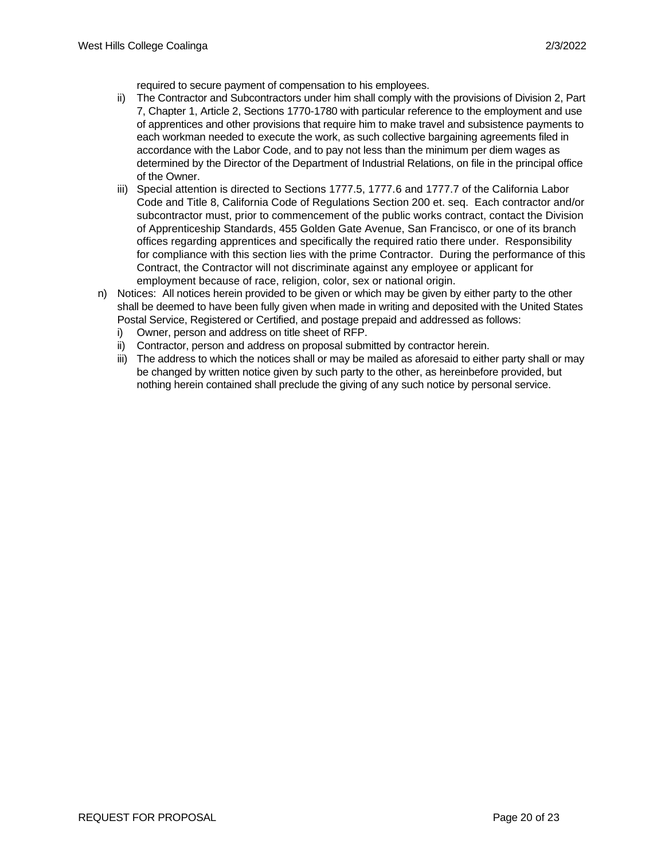required to secure payment of compensation to his employees.

- ii) The Contractor and Subcontractors under him shall comply with the provisions of Division 2, Part 7, Chapter 1, Article 2, Sections 1770-1780 with particular reference to the employment and use of apprentices and other provisions that require him to make travel and subsistence payments to each workman needed to execute the work, as such collective bargaining agreements filed in accordance with the Labor Code, and to pay not less than the minimum per diem wages as determined by the Director of the Department of Industrial Relations, on file in the principal office of the Owner.
- iii) Special attention is directed to Sections 1777.5, 1777.6 and 1777.7 of the California Labor Code and Title 8, California Code of Regulations Section 200 et. seq. Each contractor and/or subcontractor must, prior to commencement of the public works contract, contact the Division of Apprenticeship Standards, 455 Golden Gate Avenue, San Francisco, or one of its branch offices regarding apprentices and specifically the required ratio there under. Responsibility for compliance with this section lies with the prime Contractor. During the performance of this Contract, the Contractor will not discriminate against any employee or applicant for employment because of race, religion, color, sex or national origin.
- n) Notices: All notices herein provided to be given or which may be given by either party to the other shall be deemed to have been fully given when made in writing and deposited with the United States Postal Service, Registered or Certified, and postage prepaid and addressed as follows:
	- i) Owner, person and address on title sheet of RFP.
	- ii) Contractor, person and address on proposal submitted by contractor herein.
	- iii) The address to which the notices shall or may be mailed as aforesaid to either party shall or may be changed by written notice given by such party to the other, as hereinbefore provided, but nothing herein contained shall preclude the giving of any such notice by personal service.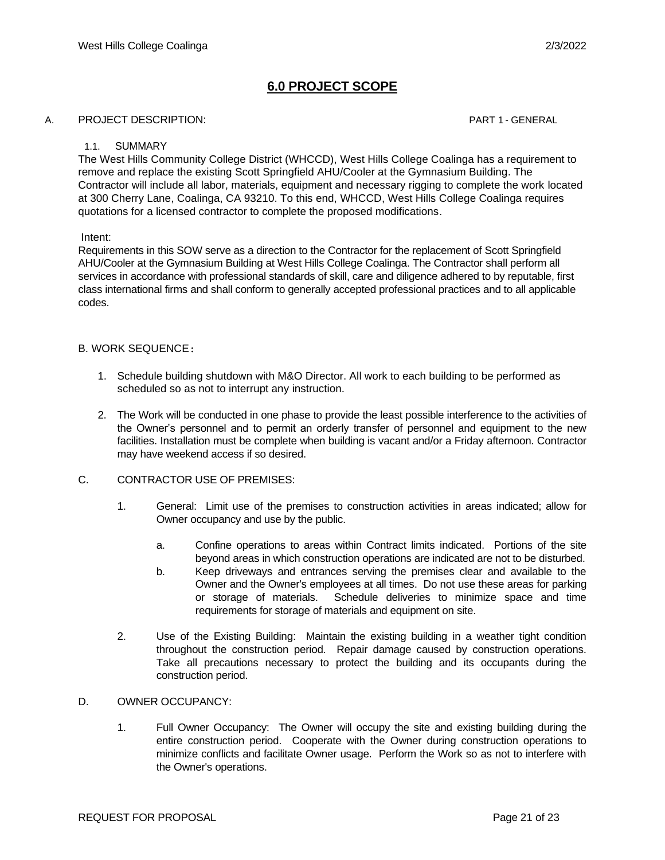# **6.0 PROJECT SCOPE**

#### A. PROJECT DESCRIPTION: PART 1 - GENERAL

#### 1.1. SUMMARY

The West Hills Community College District (WHCCD), West Hills College Coalinga has a requirement to remove and replace the existing Scott Springfield AHU/Cooler at the Gymnasium Building. The Contractor will include all labor, materials, equipment and necessary rigging to complete the work located at 300 Cherry Lane, Coalinga, CA 93210. To this end, WHCCD, West Hills College Coalinga requires quotations for a licensed contractor to complete the proposed modifications.

#### Intent:

Requirements in this SOW serve as a direction to the Contractor for the replacement of Scott Springfield AHU/Cooler at the Gymnasium Building at West Hills College Coalinga. The Contractor shall perform all services in accordance with professional standards of skill, care and diligence adhered to by reputable, first class international firms and shall conform to generally accepted professional practices and to all applicable codes.

### B. WORK SEQUENCE:

- 1. Schedule building shutdown with M&O Director. All work to each building to be performed as scheduled so as not to interrupt any instruction.
- 2. The Work will be conducted in one phase to provide the least possible interference to the activities of the Owner's personnel and to permit an orderly transfer of personnel and equipment to the new facilities. Installation must be complete when building is vacant and/or a Friday afternoon. Contractor may have weekend access if so desired.
- C. CONTRACTOR USE OF PREMISES:
	- 1. General: Limit use of the premises to construction activities in areas indicated; allow for Owner occupancy and use by the public.
		- a. Confine operations to areas within Contract limits indicated. Portions of the site beyond areas in which construction operations are indicated are not to be disturbed.
		- b. Keep driveways and entrances serving the premises clear and available to the Owner and the Owner's employees at all times. Do not use these areas for parking or storage of materials. Schedule deliveries to minimize space and time requirements for storage of materials and equipment on site.
	- 2. Use of the Existing Building: Maintain the existing building in a weather tight condition throughout the construction period. Repair damage caused by construction operations. Take all precautions necessary to protect the building and its occupants during the construction period.

#### D. OWNER OCCUPANCY:

1. Full Owner Occupancy: The Owner will occupy the site and existing building during the entire construction period. Cooperate with the Owner during construction operations to minimize conflicts and facilitate Owner usage. Perform the Work so as not to interfere with the Owner's operations.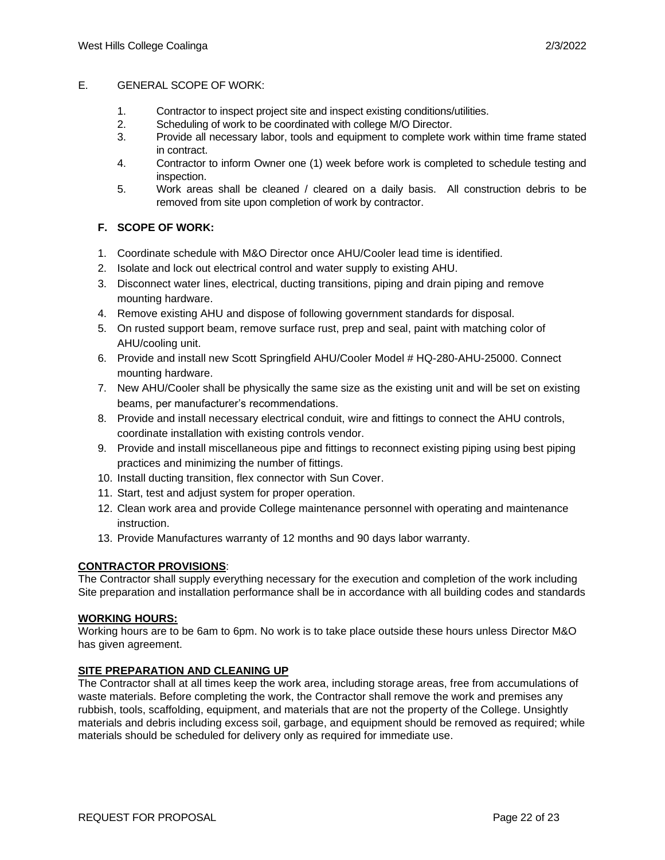#### E. GENERAL SCOPE OF WORK:

- 1. Contractor to inspect project site and inspect existing conditions/utilities.
- 2. Scheduling of work to be coordinated with college M/O Director.
- 3. Provide all necessary labor, tools and equipment to complete work within time frame stated in contract.
- 4. Contractor to inform Owner one (1) week before work is completed to schedule testing and inspection.
- 5. Work areas shall be cleaned / cleared on a daily basis. All construction debris to be removed from site upon completion of work by contractor.

## **F. SCOPE OF WORK:**

- 1. Coordinate schedule with M&O Director once AHU/Cooler lead time is identified.
- 2. Isolate and lock out electrical control and water supply to existing AHU.
- 3. Disconnect water lines, electrical, ducting transitions, piping and drain piping and remove mounting hardware.
- 4. Remove existing AHU and dispose of following government standards for disposal.
- 5. On rusted support beam, remove surface rust, prep and seal, paint with matching color of AHU/cooling unit.
- 6. Provide and install new Scott Springfield AHU/Cooler Model # HQ-280-AHU-25000. Connect mounting hardware.
- 7. New AHU/Cooler shall be physically the same size as the existing unit and will be set on existing beams, per manufacturer's recommendations.
- 8. Provide and install necessary electrical conduit, wire and fittings to connect the AHU controls, coordinate installation with existing controls vendor.
- 9. Provide and install miscellaneous pipe and fittings to reconnect existing piping using best piping practices and minimizing the number of fittings.
- 10. Install ducting transition, flex connector with Sun Cover.
- 11. Start, test and adjust system for proper operation.
- 12. Clean work area and provide College maintenance personnel with operating and maintenance instruction.
- 13. Provide Manufactures warranty of 12 months and 90 days labor warranty.

### **CONTRACTOR PROVISIONS**:

The Contractor shall supply everything necessary for the execution and completion of the work including Site preparation and installation performance shall be in accordance with all building codes and standards

### **WORKING HOURS:**

Working hours are to be 6am to 6pm. No work is to take place outside these hours unless Director M&O has given agreement.

#### **SITE PREPARATION AND CLEANING UP**

The Contractor shall at all times keep the work area, including storage areas, free from accumulations of waste materials. Before completing the work, the Contractor shall remove the work and premises any rubbish, tools, scaffolding, equipment, and materials that are not the property of the College. Unsightly materials and debris including excess soil, garbage, and equipment should be removed as required; while materials should be scheduled for delivery only as required for immediate use.